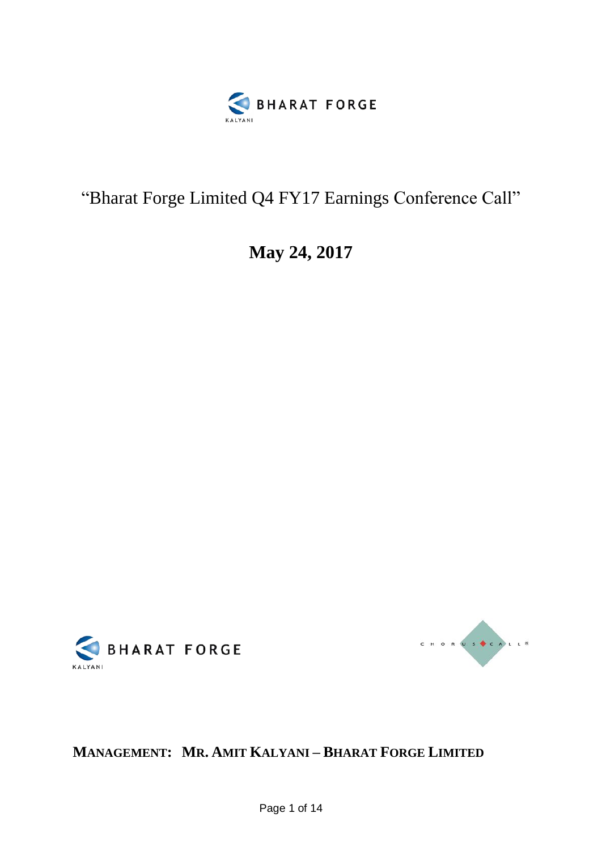

## "Bharat Forge Limited Q4 FY17 Earnings Conference Call"

**May 24, 2017**





**MANAGEMENT: MR. AMIT KALYANI – BHARAT FORGE LIMITED**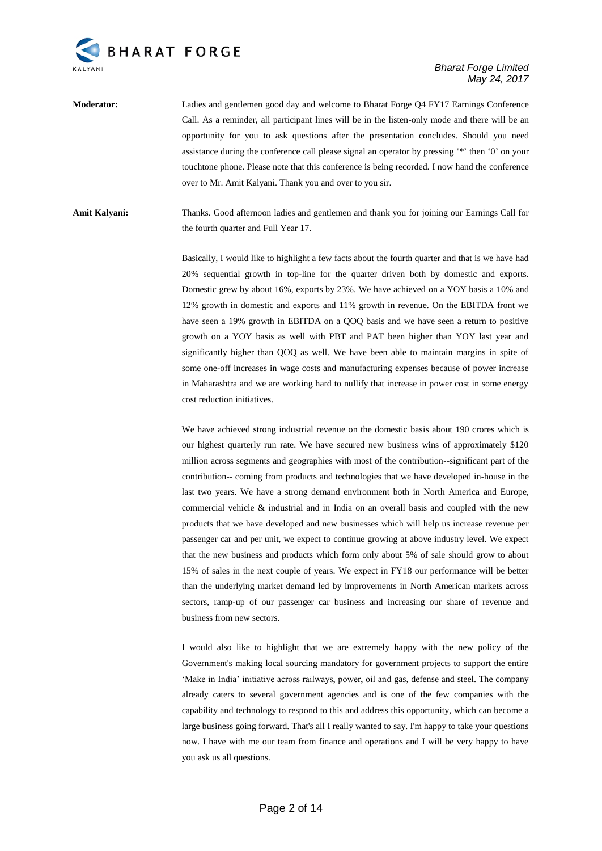

**Moderator:** Ladies and gentlemen good day and welcome to Bharat Forge Q4 FY17 Earnings Conference Call. As a reminder, all participant lines will be in the listen-only mode and there will be an opportunity for you to ask questions after the presentation concludes. Should you need assistance during the conference call please signal an operator by pressing '\*' then '0' on your touchtone phone. Please note that this conference is being recorded. I now hand the conference over to Mr. Amit Kalyani. Thank you and over to you sir.

**Amit Kalyani:** Thanks. Good afternoon ladies and gentlemen and thank you for joining our Earnings Call for the fourth quarter and Full Year 17.

> Basically, I would like to highlight a few facts about the fourth quarter and that is we have had 20% sequential growth in top-line for the quarter driven both by domestic and exports. Domestic grew by about 16%, exports by 23%. We have achieved on a YOY basis a 10% and 12% growth in domestic and exports and 11% growth in revenue. On the EBITDA front we have seen a 19% growth in EBITDA on a QOQ basis and we have seen a return to positive growth on a YOY basis as well with PBT and PAT been higher than YOY last year and significantly higher than QOQ as well. We have been able to maintain margins in spite of some one-off increases in wage costs and manufacturing expenses because of power increase in Maharashtra and we are working hard to nullify that increase in power cost in some energy cost reduction initiatives.

> We have achieved strong industrial revenue on the domestic basis about 190 crores which is our highest quarterly run rate. We have secured new business wins of approximately \$120 million across segments and geographies with most of the contribution--significant part of the contribution-- coming from products and technologies that we have developed in-house in the last two years. We have a strong demand environment both in North America and Europe, commercial vehicle & industrial and in India on an overall basis and coupled with the new products that we have developed and new businesses which will help us increase revenue per passenger car and per unit, we expect to continue growing at above industry level. We expect that the new business and products which form only about 5% of sale should grow to about 15% of sales in the next couple of years. We expect in FY18 our performance will be better than the underlying market demand led by improvements in North American markets across sectors, ramp-up of our passenger car business and increasing our share of revenue and business from new sectors.

> I would also like to highlight that we are extremely happy with the new policy of the Government's making local sourcing mandatory for government projects to support the entire 'Make in India' initiative across railways, power, oil and gas, defense and steel. The company already caters to several government agencies and is one of the few companies with the capability and technology to respond to this and address this opportunity, which can become a large business going forward. That's all I really wanted to say. I'm happy to take your questions now. I have with me our team from finance and operations and I will be very happy to have you ask us all questions.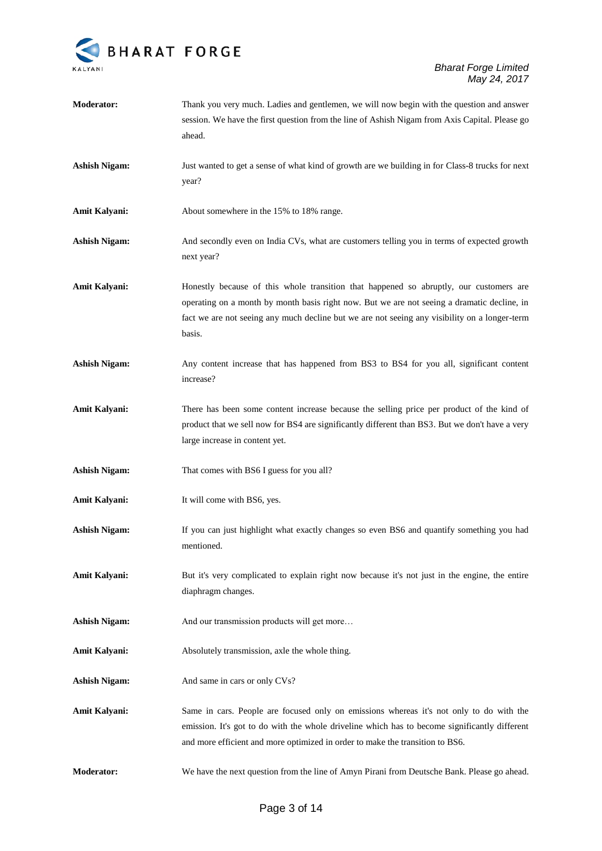

| <b>Moderator:</b>    | Thank you very much. Ladies and gentlemen, we will now begin with the question and answer<br>session. We have the first question from the line of Ashish Nigam from Axis Capital. Please go<br>ahead.                                                                                            |
|----------------------|--------------------------------------------------------------------------------------------------------------------------------------------------------------------------------------------------------------------------------------------------------------------------------------------------|
| <b>Ashish Nigam:</b> | Just wanted to get a sense of what kind of growth are we building in for Class-8 trucks for next<br>year?                                                                                                                                                                                        |
| Amit Kalyani:        | About somewhere in the 15% to 18% range.                                                                                                                                                                                                                                                         |
| <b>Ashish Nigam:</b> | And secondly even on India CVs, what are customers telling you in terms of expected growth<br>next year?                                                                                                                                                                                         |
| Amit Kalyani:        | Honestly because of this whole transition that happened so abruptly, our customers are<br>operating on a month by month basis right now. But we are not seeing a dramatic decline, in<br>fact we are not seeing any much decline but we are not seeing any visibility on a longer-term<br>basis. |
| <b>Ashish Nigam:</b> | Any content increase that has happened from BS3 to BS4 for you all, significant content<br>increase?                                                                                                                                                                                             |
| Amit Kalyani:        | There has been some content increase because the selling price per product of the kind of<br>product that we sell now for BS4 are significantly different than BS3. But we don't have a very<br>large increase in content yet.                                                                   |
| <b>Ashish Nigam:</b> | That comes with BS6 I guess for you all?                                                                                                                                                                                                                                                         |
| Amit Kalyani:        | It will come with BS6, yes.                                                                                                                                                                                                                                                                      |
| <b>Ashish Nigam:</b> | If you can just highlight what exactly changes so even BS6 and quantify something you had<br>mentioned.                                                                                                                                                                                          |
| Amit Kalyani:        | But it's very complicated to explain right now because it's not just in the engine, the entire<br>diaphragm changes.                                                                                                                                                                             |
| <b>Ashish Nigam:</b> | And our transmission products will get more                                                                                                                                                                                                                                                      |
| <b>Amit Kalyani:</b> | Absolutely transmission, axle the whole thing.                                                                                                                                                                                                                                                   |
| <b>Ashish Nigam:</b> | And same in cars or only CVs?                                                                                                                                                                                                                                                                    |
| <b>Amit Kalyani:</b> | Same in cars. People are focused only on emissions whereas it's not only to do with the<br>emission. It's got to do with the whole driveline which has to become significantly different<br>and more efficient and more optimized in order to make the transition to BS6.                        |
| <b>Moderator:</b>    | We have the next question from the line of Amyn Pirani from Deutsche Bank. Please go ahead.                                                                                                                                                                                                      |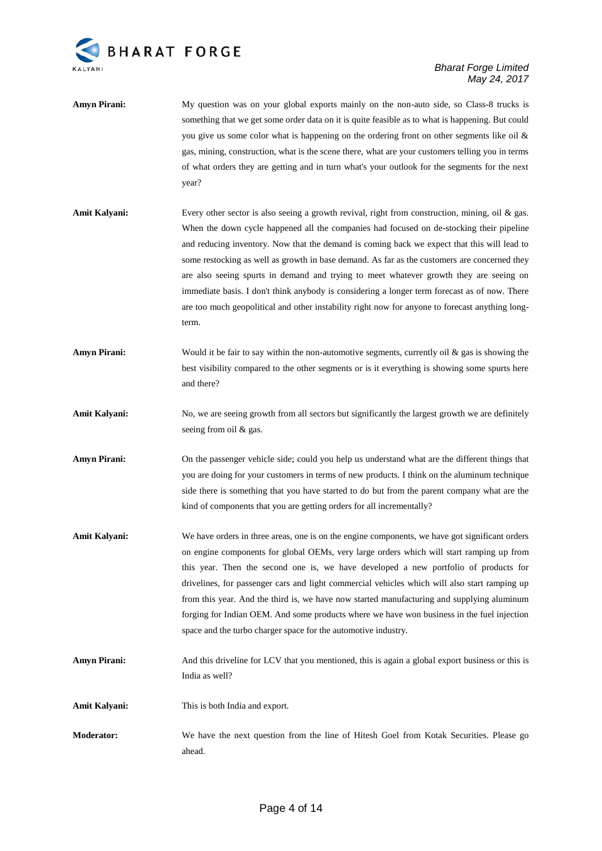

- **Amyn Pirani:** My question was on your global exports mainly on the non-auto side, so Class-8 trucks is something that we get some order data on it is quite feasible as to what is happening. But could you give us some color what is happening on the ordering front on other segments like oil & gas, mining, construction, what is the scene there, what are your customers telling you in terms of what orders they are getting and in turn what's your outlook for the segments for the next year?
- Amit Kalyani: Every other sector is also seeing a growth revival, right from construction, mining, oil & gas. When the down cycle happened all the companies had focused on de-stocking their pipeline and reducing inventory. Now that the demand is coming back we expect that this will lead to some restocking as well as growth in base demand. As far as the customers are concerned they are also seeing spurts in demand and trying to meet whatever growth they are seeing on immediate basis. I don't think anybody is considering a longer term forecast as of now. There are too much geopolitical and other instability right now for anyone to forecast anything longterm.
- **Amyn Pirani:** Would it be fair to say within the non-automotive segments, currently oil & gas is showing the best visibility compared to the other segments or is it everything is showing some spurts here and there?
- Amit Kalyani: No, we are seeing growth from all sectors but significantly the largest growth we are definitely seeing from oil & gas.
- **Amyn Pirani:** On the passenger vehicle side; could you help us understand what are the different things that you are doing for your customers in terms of new products. I think on the aluminum technique side there is something that you have started to do but from the parent company what are the kind of components that you are getting orders for all incrementally?
- Amit Kalyani: We have orders in three areas, one is on the engine components, we have got significant orders on engine components for global OEMs, very large orders which will start ramping up from this year. Then the second one is, we have developed a new portfolio of products for drivelines, for passenger cars and light commercial vehicles which will also start ramping up from this year. And the third is, we have now started manufacturing and supplying aluminum forging for Indian OEM. And some products where we have won business in the fuel injection space and the turbo charger space for the automotive industry.
- **Amyn Pirani:** And this driveline for LCV that you mentioned, this is again a global export business or this is India as well?
- **Amit Kalyani:** This is both India and export.
- **Moderator:** We have the next question from the line of Hitesh Goel from Kotak Securities. Please go ahead.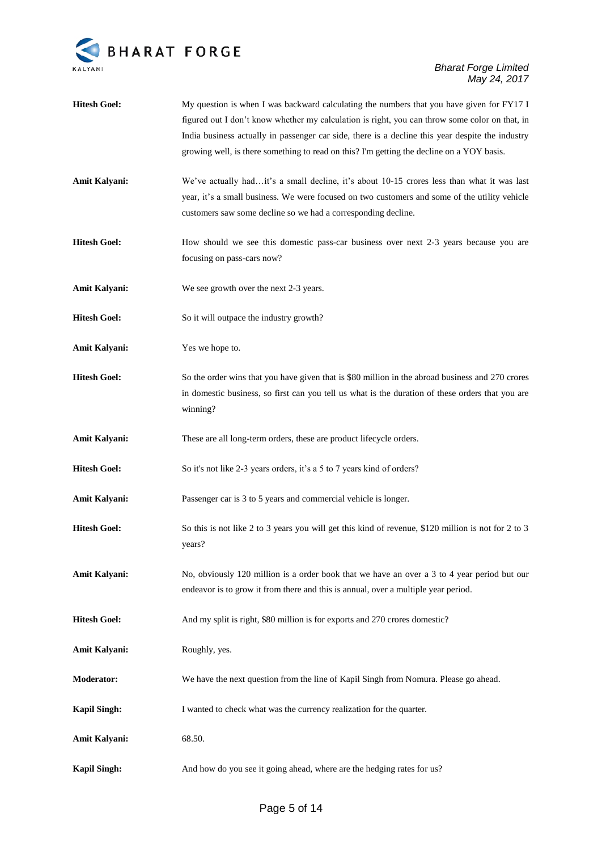

| <b>Hitesh Goel:</b> | My question is when I was backward calculating the numbers that you have given for FY17 I           |
|---------------------|-----------------------------------------------------------------------------------------------------|
|                     | figured out I don't know whether my calculation is right, you can throw some color on that, in      |
|                     | India business actually in passenger car side, there is a decline this year despite the industry    |
|                     | growing well, is there something to read on this? I'm getting the decline on a YOY basis.           |
| Amit Kalyani:       | We've actually hadit's a small decline, it's about 10-15 crores less than what it was last          |
|                     | year, it's a small business. We were focused on two customers and some of the utility vehicle       |
|                     | customers saw some decline so we had a corresponding decline.                                       |
| <b>Hitesh Goel:</b> | How should we see this domestic pass-car business over next 2-3 years because you are               |
|                     | focusing on pass-cars now?                                                                          |
| Amit Kalyani:       | We see growth over the next 2-3 years.                                                              |
| <b>Hitesh Goel:</b> | So it will outpace the industry growth?                                                             |
| Amit Kalyani:       | Yes we hope to.                                                                                     |
| <b>Hitesh Goel:</b> | So the order wins that you have given that is \$80 million in the abroad business and 270 crores    |
|                     | in domestic business, so first can you tell us what is the duration of these orders that you are    |
|                     | winning?                                                                                            |
| Amit Kalyani:       | These are all long-term orders, these are product lifecycle orders.                                 |
| <b>Hitesh Goel:</b> | So it's not like 2-3 years orders, it's a 5 to 7 years kind of orders?                              |
| Amit Kalyani:       | Passenger car is 3 to 5 years and commercial vehicle is longer.                                     |
| <b>Hitesh Goel:</b> | So this is not like 2 to 3 years you will get this kind of revenue, \$120 million is not for 2 to 3 |
|                     | years?                                                                                              |
| Amit Kalyani:       | No, obviously 120 million is a order book that we have an over a 3 to 4 year period but our         |
|                     | endeavor is to grow it from there and this is annual, over a multiple year period.                  |
|                     |                                                                                                     |
| <b>Hitesh Goel:</b> | And my split is right, \$80 million is for exports and 270 crores domestic?                         |
| Amit Kalyani:       | Roughly, yes.                                                                                       |
| <b>Moderator:</b>   | We have the next question from the line of Kapil Singh from Nomura. Please go ahead.                |
| <b>Kapil Singh:</b> | I wanted to check what was the currency realization for the quarter.                                |
| Amit Kalyani:       | 68.50.                                                                                              |
| <b>Kapil Singh:</b> | And how do you see it going ahead, where are the hedging rates for us?                              |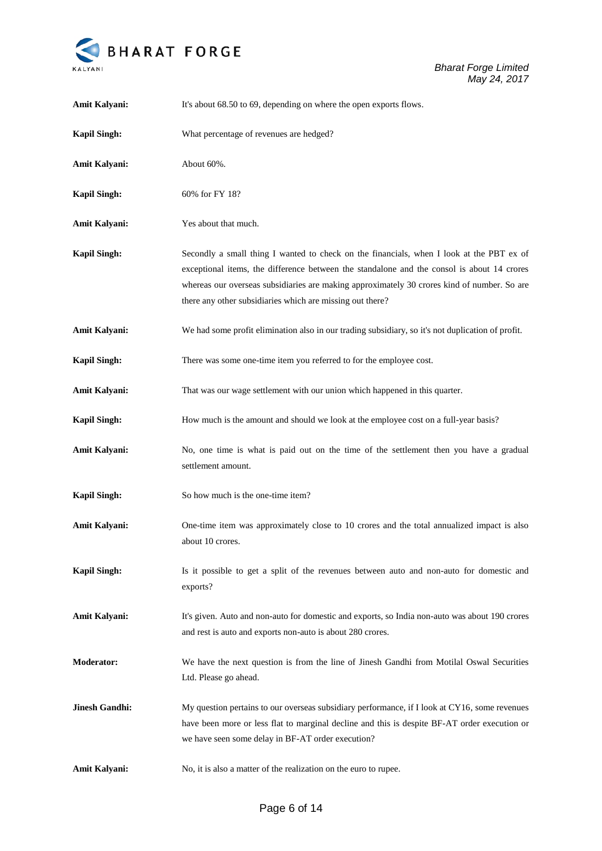

| Amit Kalyani:         | It's about 68.50 to 69, depending on where the open exports flows.                                                                                                                                                                                                                                                                                 |
|-----------------------|----------------------------------------------------------------------------------------------------------------------------------------------------------------------------------------------------------------------------------------------------------------------------------------------------------------------------------------------------|
| <b>Kapil Singh:</b>   | What percentage of revenues are hedged?                                                                                                                                                                                                                                                                                                            |
| Amit Kalyani:         | About 60%.                                                                                                                                                                                                                                                                                                                                         |
| <b>Kapil Singh:</b>   | 60% for FY 18?                                                                                                                                                                                                                                                                                                                                     |
| Amit Kalyani:         | Yes about that much.                                                                                                                                                                                                                                                                                                                               |
| <b>Kapil Singh:</b>   | Secondly a small thing I wanted to check on the financials, when I look at the PBT ex of<br>exceptional items, the difference between the standalone and the consol is about 14 crores<br>whereas our overseas subsidiaries are making approximately 30 crores kind of number. So are<br>there any other subsidiaries which are missing out there? |
| Amit Kalyani:         | We had some profit elimination also in our trading subsidiary, so it's not duplication of profit.                                                                                                                                                                                                                                                  |
| <b>Kapil Singh:</b>   | There was some one-time item you referred to for the employee cost.                                                                                                                                                                                                                                                                                |
| Amit Kalyani:         | That was our wage settlement with our union which happened in this quarter.                                                                                                                                                                                                                                                                        |
| <b>Kapil Singh:</b>   | How much is the amount and should we look at the employee cost on a full-year basis?                                                                                                                                                                                                                                                               |
| Amit Kalyani:         | No, one time is what is paid out on the time of the settlement then you have a gradual<br>settlement amount.                                                                                                                                                                                                                                       |
| <b>Kapil Singh:</b>   | So how much is the one-time item?                                                                                                                                                                                                                                                                                                                  |
| Amit Kalyani:         | One-time item was approximately close to 10 crores and the total annualized impact is also<br>about 10 crores.                                                                                                                                                                                                                                     |
| <b>Kapil Singh:</b>   | Is it possible to get a split of the revenues between auto and non-auto for domestic and<br>exports?                                                                                                                                                                                                                                               |
| Amit Kalyani:         | It's given. Auto and non-auto for domestic and exports, so India non-auto was about 190 crores<br>and rest is auto and exports non-auto is about 280 crores.                                                                                                                                                                                       |
| <b>Moderator:</b>     | We have the next question is from the line of Jinesh Gandhi from Motilal Oswal Securities<br>Ltd. Please go ahead.                                                                                                                                                                                                                                 |
| <b>Jinesh Gandhi:</b> | My question pertains to our overseas subsidiary performance, if I look at CY16, some revenues<br>have been more or less flat to marginal decline and this is despite BF-AT order execution or<br>we have seen some delay in BF-AT order execution?                                                                                                 |
| Amit Kalyani:         | No, it is also a matter of the realization on the euro to rupee.                                                                                                                                                                                                                                                                                   |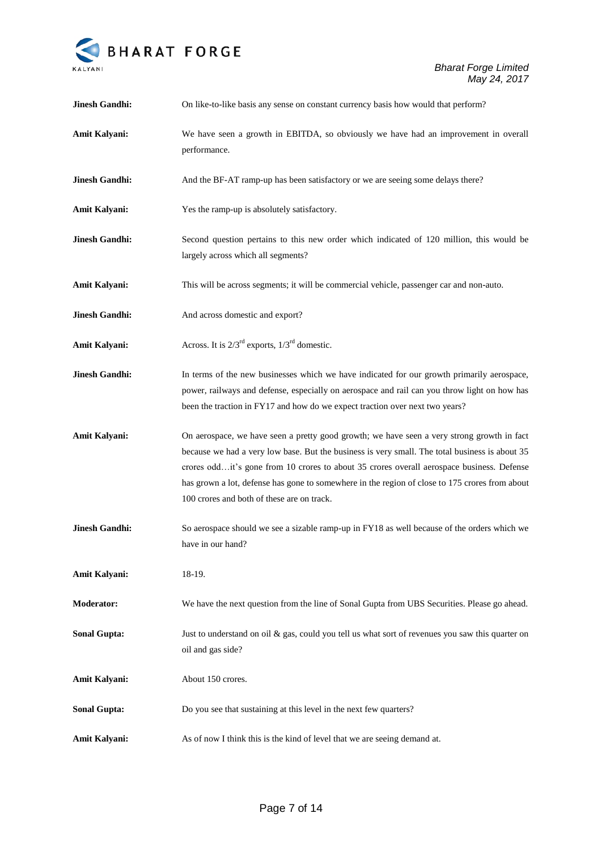

| <b>Jinesh Gandhi:</b> | On like-to-like basis any sense on constant currency basis how would that perform?                                                                                                                                                                                                                                                                                                                                                        |
|-----------------------|-------------------------------------------------------------------------------------------------------------------------------------------------------------------------------------------------------------------------------------------------------------------------------------------------------------------------------------------------------------------------------------------------------------------------------------------|
| Amit Kalyani:         | We have seen a growth in EBITDA, so obviously we have had an improvement in overall<br>performance.                                                                                                                                                                                                                                                                                                                                       |
| <b>Jinesh Gandhi:</b> | And the BF-AT ramp-up has been satisfactory or we are seeing some delays there?                                                                                                                                                                                                                                                                                                                                                           |
| Amit Kalyani:         | Yes the ramp-up is absolutely satisfactory.                                                                                                                                                                                                                                                                                                                                                                                               |
| <b>Jinesh Gandhi:</b> | Second question pertains to this new order which indicated of 120 million, this would be<br>largely across which all segments?                                                                                                                                                                                                                                                                                                            |
| Amit Kalyani:         | This will be across segments; it will be commercial vehicle, passenger car and non-auto.                                                                                                                                                                                                                                                                                                                                                  |
| <b>Jinesh Gandhi:</b> | And across domestic and export?                                                                                                                                                                                                                                                                                                                                                                                                           |
| Amit Kalyani:         | Across. It is $2/3^{rd}$ exports, $1/3^{rd}$ domestic.                                                                                                                                                                                                                                                                                                                                                                                    |
| <b>Jinesh Gandhi:</b> | In terms of the new businesses which we have indicated for our growth primarily aerospace,<br>power, railways and defense, especially on aerospace and rail can you throw light on how has<br>been the traction in FY17 and how do we expect traction over next two years?                                                                                                                                                                |
| Amit Kalyani:         | On aerospace, we have seen a pretty good growth; we have seen a very strong growth in fact<br>because we had a very low base. But the business is very small. The total business is about 35<br>crores oddit's gone from 10 crores to about 35 crores overall aerospace business. Defense<br>has grown a lot, defense has gone to somewhere in the region of close to 175 crores from about<br>100 crores and both of these are on track. |
| <b>Jinesh Gandhi:</b> | So aerospace should we see a sizable ramp-up in FY18 as well because of the orders which we<br>have in our hand?                                                                                                                                                                                                                                                                                                                          |
| Amit Kalyani:         | 18-19.                                                                                                                                                                                                                                                                                                                                                                                                                                    |
| <b>Moderator:</b>     | We have the next question from the line of Sonal Gupta from UBS Securities. Please go ahead.                                                                                                                                                                                                                                                                                                                                              |
| <b>Sonal Gupta:</b>   | Just to understand on oil $\&$ gas, could you tell us what sort of revenues you saw this quarter on<br>oil and gas side?                                                                                                                                                                                                                                                                                                                  |
| Amit Kalyani:         | About 150 crores.                                                                                                                                                                                                                                                                                                                                                                                                                         |
| <b>Sonal Gupta:</b>   | Do you see that sustaining at this level in the next few quarters?                                                                                                                                                                                                                                                                                                                                                                        |
| Amit Kalyani:         | As of now I think this is the kind of level that we are seeing demand at.                                                                                                                                                                                                                                                                                                                                                                 |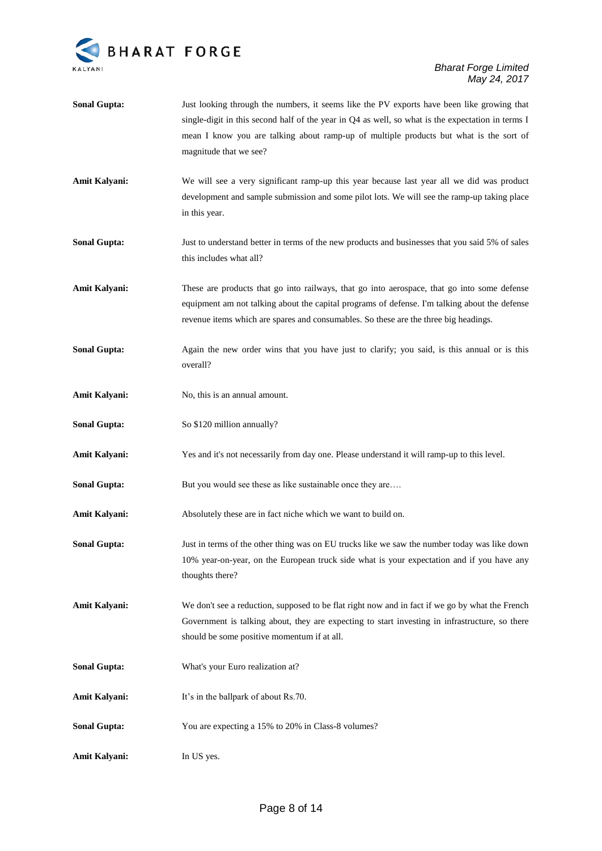

| <b>Sonal Gupta:</b>  | Just looking through the numbers, it seems like the PV exports have been like growing that<br>single-digit in this second half of the year in Q4 as well, so what is the expectation in terms I<br>mean I know you are talking about ramp-up of multiple products but what is the sort of<br>magnitude that we see? |
|----------------------|---------------------------------------------------------------------------------------------------------------------------------------------------------------------------------------------------------------------------------------------------------------------------------------------------------------------|
| Amit Kalyani:        | We will see a very significant ramp-up this year because last year all we did was product<br>development and sample submission and some pilot lots. We will see the ramp-up taking place<br>in this year.                                                                                                           |
| <b>Sonal Gupta:</b>  | Just to understand better in terms of the new products and businesses that you said 5% of sales<br>this includes what all?                                                                                                                                                                                          |
| <b>Amit Kalyani:</b> | These are products that go into railways, that go into aerospace, that go into some defense<br>equipment am not talking about the capital programs of defense. I'm talking about the defense<br>revenue items which are spares and consumables. So these are the three big headings.                                |
| <b>Sonal Gupta:</b>  | Again the new order wins that you have just to clarify; you said, is this annual or is this<br>overall?                                                                                                                                                                                                             |
| <b>Amit Kalyani:</b> | No, this is an annual amount.                                                                                                                                                                                                                                                                                       |
| <b>Sonal Gupta:</b>  | So \$120 million annually?                                                                                                                                                                                                                                                                                          |
| <b>Amit Kalyani:</b> | Yes and it's not necessarily from day one. Please understand it will ramp-up to this level.                                                                                                                                                                                                                         |
| <b>Sonal Gupta:</b>  | But you would see these as like sustainable once they are                                                                                                                                                                                                                                                           |
| <b>Amit Kalyani:</b> | Absolutely these are in fact niche which we want to build on.                                                                                                                                                                                                                                                       |
| <b>Sonal Gupta:</b>  | Just in terms of the other thing was on EU trucks like we saw the number today was like down<br>10% year-on-year, on the European truck side what is your expectation and if you have any<br>thoughts there?                                                                                                        |
| <b>Amit Kalyani:</b> | We don't see a reduction, supposed to be flat right now and in fact if we go by what the French<br>Government is talking about, they are expecting to start investing in infrastructure, so there<br>should be some positive momentum if at all.                                                                    |
| <b>Sonal Gupta:</b>  | What's your Euro realization at?                                                                                                                                                                                                                                                                                    |
| <b>Amit Kalyani:</b> | It's in the ballpark of about Rs.70.                                                                                                                                                                                                                                                                                |
| <b>Sonal Gupta:</b>  | You are expecting a 15% to 20% in Class-8 volumes?                                                                                                                                                                                                                                                                  |
| <b>Amit Kalyani:</b> | In US yes.                                                                                                                                                                                                                                                                                                          |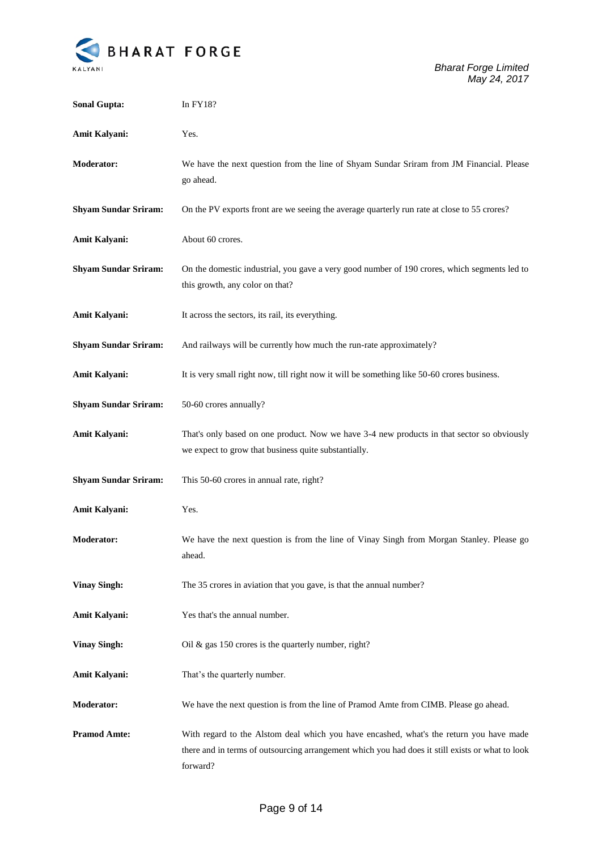

*Bharat Forge Limited May 24, 2017*

| <b>Sonal Gupta:</b>         | In FY18?                                                                                                                                                                                                |
|-----------------------------|---------------------------------------------------------------------------------------------------------------------------------------------------------------------------------------------------------|
| Amit Kalyani:               | Yes.                                                                                                                                                                                                    |
| <b>Moderator:</b>           | We have the next question from the line of Shyam Sundar Sriram from JM Financial. Please<br>go ahead.                                                                                                   |
| <b>Shyam Sundar Sriram:</b> | On the PV exports front are we seeing the average quarterly run rate at close to 55 crores?                                                                                                             |
| Amit Kalyani:               | About 60 crores.                                                                                                                                                                                        |
| <b>Shyam Sundar Sriram:</b> | On the domestic industrial, you gave a very good number of 190 crores, which segments led to<br>this growth, any color on that?                                                                         |
| Amit Kalyani:               | It across the sectors, its rail, its everything.                                                                                                                                                        |
| <b>Shyam Sundar Sriram:</b> | And railways will be currently how much the run-rate approximately?                                                                                                                                     |
| Amit Kalyani:               | It is very small right now, till right now it will be something like 50-60 crores business.                                                                                                             |
| <b>Shyam Sundar Sriram:</b> | 50-60 crores annually?                                                                                                                                                                                  |
| Amit Kalyani:               | That's only based on one product. Now we have 3-4 new products in that sector so obviously<br>we expect to grow that business quite substantially.                                                      |
| <b>Shyam Sundar Sriram:</b> | This 50-60 crores in annual rate, right?                                                                                                                                                                |
| Amit Kalyani:               | Yes.                                                                                                                                                                                                    |
| <b>Moderator:</b>           | We have the next question is from the line of Vinay Singh from Morgan Stanley. Please go<br>ahead.                                                                                                      |
| <b>Vinay Singh:</b>         | The 35 crores in aviation that you gave, is that the annual number?                                                                                                                                     |
| <b>Amit Kalyani:</b>        | Yes that's the annual number.                                                                                                                                                                           |
| <b>Vinay Singh:</b>         | Oil & gas $150$ crores is the quarterly number, right?                                                                                                                                                  |
| <b>Amit Kalyani:</b>        | That's the quarterly number.                                                                                                                                                                            |
| <b>Moderator:</b>           | We have the next question is from the line of Pramod Amte from CIMB. Please go ahead.                                                                                                                   |
| <b>Pramod Amte:</b>         | With regard to the Alstom deal which you have encashed, what's the return you have made<br>there and in terms of outsourcing arrangement which you had does it still exists or what to look<br>forward? |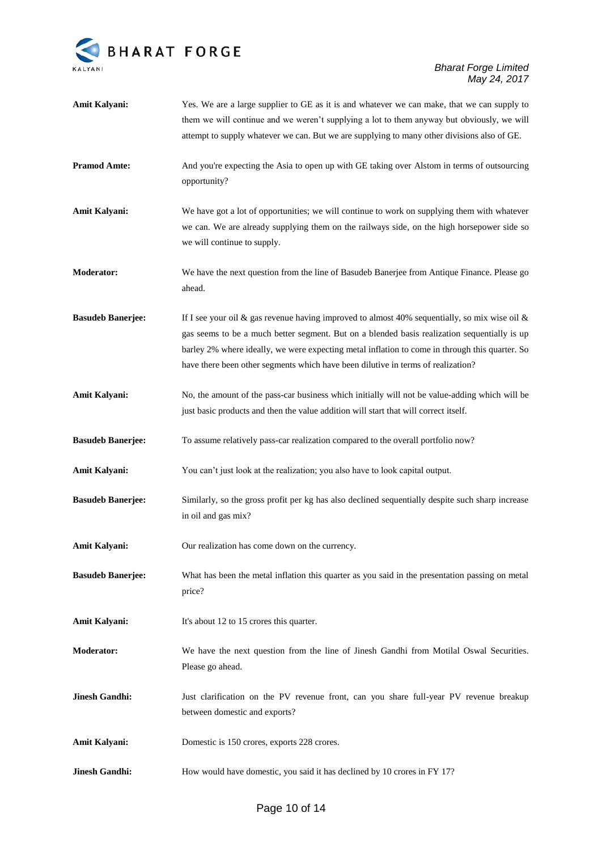

| Amit Kalyani:            | Yes. We are a large supplier to GE as it is and whatever we can make, that we can supply to<br>them we will continue and we weren't supplying a lot to them anyway but obviously, we will                                                                                                                                                                                           |
|--------------------------|-------------------------------------------------------------------------------------------------------------------------------------------------------------------------------------------------------------------------------------------------------------------------------------------------------------------------------------------------------------------------------------|
|                          | attempt to supply whatever we can. But we are supplying to many other divisions also of GE.                                                                                                                                                                                                                                                                                         |
| <b>Pramod Amte:</b>      | And you're expecting the Asia to open up with GE taking over Alstom in terms of outsourcing<br>opportunity?                                                                                                                                                                                                                                                                         |
| Amit Kalyani:            | We have got a lot of opportunities; we will continue to work on supplying them with whatever<br>we can. We are already supplying them on the railways side, on the high horsepower side so<br>we will continue to supply.                                                                                                                                                           |
| <b>Moderator:</b>        | We have the next question from the line of Basudeb Banerjee from Antique Finance. Please go<br>ahead.                                                                                                                                                                                                                                                                               |
| <b>Basudeb Banerjee:</b> | If I see your oil & gas revenue having improved to almost 40% sequentially, so mix wise oil &<br>gas seems to be a much better segment. But on a blended basis realization sequentially is up<br>barley 2% where ideally, we were expecting metal inflation to come in through this quarter. So<br>have there been other segments which have been dilutive in terms of realization? |
| Amit Kalyani:            | No, the amount of the pass-car business which initially will not be value-adding which will be<br>just basic products and then the value addition will start that will correct itself.                                                                                                                                                                                              |
| <b>Basudeb Banerjee:</b> | To assume relatively pass-car realization compared to the overall portfolio now?                                                                                                                                                                                                                                                                                                    |
| Amit Kalyani:            | You can't just look at the realization; you also have to look capital output.                                                                                                                                                                                                                                                                                                       |
| <b>Basudeb Banerjee:</b> | Similarly, so the gross profit per kg has also declined sequentially despite such sharp increase<br>in oil and gas mix?                                                                                                                                                                                                                                                             |
| Amit Kalyani:            | Our realization has come down on the currency.                                                                                                                                                                                                                                                                                                                                      |
| <b>Basudeb Banerjee:</b> | What has been the metal inflation this quarter as you said in the presentation passing on metal<br>price?                                                                                                                                                                                                                                                                           |
| <b>Amit Kalyani:</b>     | It's about 12 to 15 crores this quarter.                                                                                                                                                                                                                                                                                                                                            |
| <b>Moderator:</b>        | We have the next question from the line of Jinesh Gandhi from Motilal Oswal Securities.<br>Please go ahead.                                                                                                                                                                                                                                                                         |
| <b>Jinesh Gandhi:</b>    | Just clarification on the PV revenue front, can you share full-year PV revenue breakup<br>between domestic and exports?                                                                                                                                                                                                                                                             |
| <b>Amit Kalyani:</b>     | Domestic is 150 crores, exports 228 crores.                                                                                                                                                                                                                                                                                                                                         |
| <b>Jinesh Gandhi:</b>    | How would have domestic, you said it has declined by 10 crores in FY 17?                                                                                                                                                                                                                                                                                                            |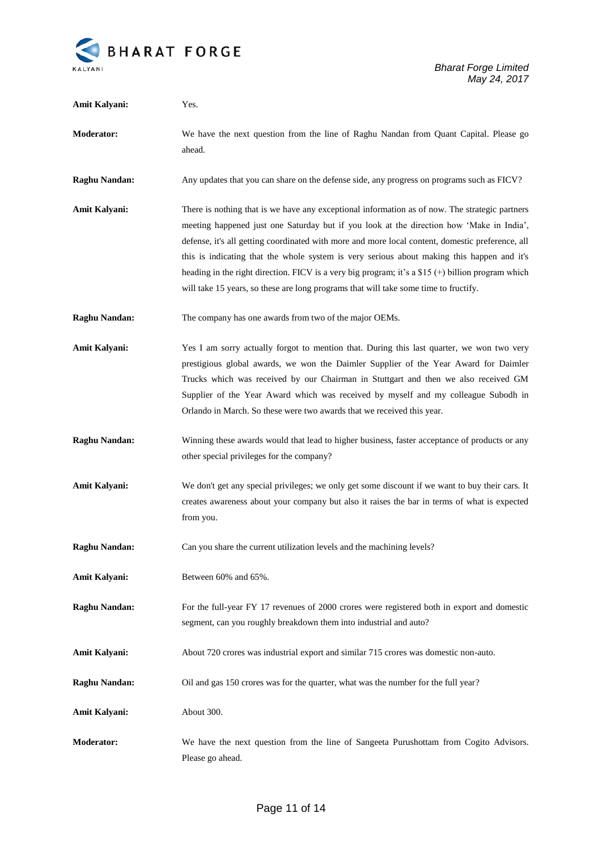

| Amit Kalyani:        | Yes.                                                                                                                                                                                                                                                                                                                                                                                                                                                                                                                                                                                        |
|----------------------|---------------------------------------------------------------------------------------------------------------------------------------------------------------------------------------------------------------------------------------------------------------------------------------------------------------------------------------------------------------------------------------------------------------------------------------------------------------------------------------------------------------------------------------------------------------------------------------------|
| <b>Moderator:</b>    | We have the next question from the line of Raghu Nandan from Quant Capital. Please go<br>ahead.                                                                                                                                                                                                                                                                                                                                                                                                                                                                                             |
| <b>Raghu Nandan:</b> | Any updates that you can share on the defense side, any progress on programs such as FICV?                                                                                                                                                                                                                                                                                                                                                                                                                                                                                                  |
| Amit Kalyani:        | There is nothing that is we have any exceptional information as of now. The strategic partners<br>meeting happened just one Saturday but if you look at the direction how 'Make in India',<br>defense, it's all getting coordinated with more and more local content, domestic preference, all<br>this is indicating that the whole system is very serious about making this happen and it's<br>heading in the right direction. FICV is a very big program; it's a \$15 $(+)$ billion program which<br>will take 15 years, so these are long programs that will take some time to fructify. |
| <b>Raghu Nandan:</b> | The company has one awards from two of the major OEMs.                                                                                                                                                                                                                                                                                                                                                                                                                                                                                                                                      |
| Amit Kalyani:        | Yes I am sorry actually forgot to mention that. During this last quarter, we won two very<br>prestigious global awards, we won the Daimler Supplier of the Year Award for Daimler<br>Trucks which was received by our Chairman in Stuttgart and then we also received GM<br>Supplier of the Year Award which was received by myself and my colleague Subodh in<br>Orlando in March. So these were two awards that we received this year.                                                                                                                                                    |
| <b>Raghu Nandan:</b> | Winning these awards would that lead to higher business, faster acceptance of products or any<br>other special privileges for the company?                                                                                                                                                                                                                                                                                                                                                                                                                                                  |
| Amit Kalyani:        | We don't get any special privileges; we only get some discount if we want to buy their cars. It<br>creates awareness about your company but also it raises the bar in terms of what is expected<br>from you.                                                                                                                                                                                                                                                                                                                                                                                |
| <b>Raghu Nandan:</b> | Can you share the current utilization levels and the machining levels?                                                                                                                                                                                                                                                                                                                                                                                                                                                                                                                      |
| Amit Kalyani:        | Between 60% and 65%.                                                                                                                                                                                                                                                                                                                                                                                                                                                                                                                                                                        |
| <b>Raghu Nandan:</b> | For the full-year FY 17 revenues of 2000 crores were registered both in export and domestic<br>segment, can you roughly breakdown them into industrial and auto?                                                                                                                                                                                                                                                                                                                                                                                                                            |
| <b>Amit Kalyani:</b> | About 720 crores was industrial export and similar 715 crores was domestic non-auto.                                                                                                                                                                                                                                                                                                                                                                                                                                                                                                        |
| <b>Raghu Nandan:</b> | Oil and gas 150 crores was for the quarter, what was the number for the full year?                                                                                                                                                                                                                                                                                                                                                                                                                                                                                                          |
| Amit Kalyani:        | About 300.                                                                                                                                                                                                                                                                                                                                                                                                                                                                                                                                                                                  |
| Moderator:           | We have the next question from the line of Sangeeta Purushottam from Cogito Advisors.<br>Please go ahead.                                                                                                                                                                                                                                                                                                                                                                                                                                                                                   |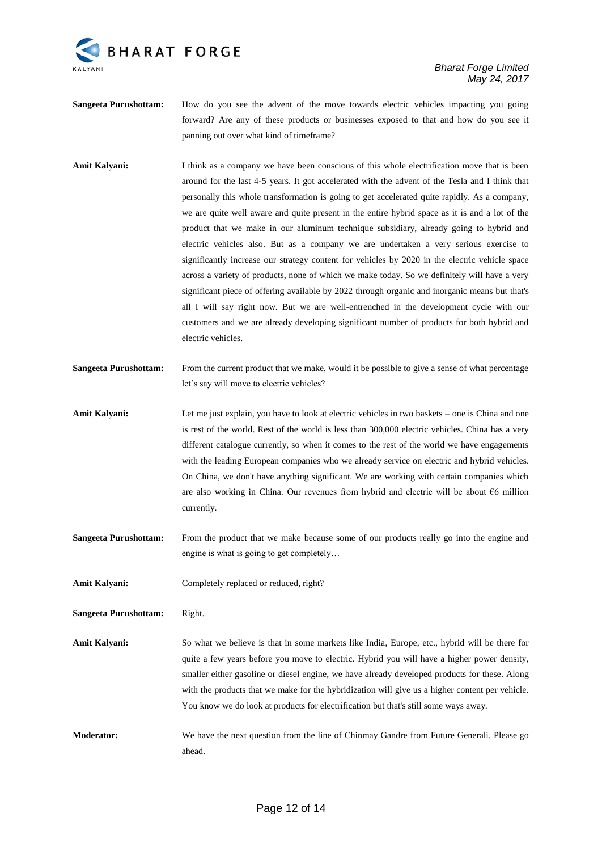

*Bharat Forge Limited May 24, 2017*

- **Sangeeta Purushottam:** How do you see the advent of the move towards electric vehicles impacting you going forward? Are any of these products or businesses exposed to that and how do you see it panning out over what kind of timeframe?
- Amit Kalyani: I think as a company we have been conscious of this whole electrification move that is been around for the last 4-5 years. It got accelerated with the advent of the Tesla and I think that personally this whole transformation is going to get accelerated quite rapidly. As a company, we are quite well aware and quite present in the entire hybrid space as it is and a lot of the product that we make in our aluminum technique subsidiary, already going to hybrid and electric vehicles also. But as a company we are undertaken a very serious exercise to significantly increase our strategy content for vehicles by 2020 in the electric vehicle space across a variety of products, none of which we make today. So we definitely will have a very significant piece of offering available by 2022 through organic and inorganic means but that's all I will say right now. But we are well-entrenched in the development cycle with our customers and we are already developing significant number of products for both hybrid and electric vehicles.
- **Sangeeta Purushottam:** From the current product that we make, would it be possible to give a sense of what percentage let's say will move to electric vehicles?
- **Amit Kalyani:** Let me just explain, you have to look at electric vehicles in two baskets one is China and one is rest of the world. Rest of the world is less than 300,000 electric vehicles. China has a very different catalogue currently, so when it comes to the rest of the world we have engagements with the leading European companies who we already service on electric and hybrid vehicles. On China, we don't have anything significant. We are working with certain companies which are also working in China. Our revenues from hybrid and electric will be about €6 million currently.
- **Sangeeta Purushottam:** From the product that we make because some of our products really go into the engine and engine is what is going to get completely…
- Amit Kalyani: Completely replaced or reduced, right?

**Sangeeta Purushottam:** Right.

- **Amit Kalyani:** So what we believe is that in some markets like India, Europe, etc., hybrid will be there for quite a few years before you move to electric. Hybrid you will have a higher power density, smaller either gasoline or diesel engine, we have already developed products for these. Along with the products that we make for the hybridization will give us a higher content per vehicle. You know we do look at products for electrification but that's still some ways away.
- **Moderator:** We have the next question from the line of Chinmay Gandre from Future Generali. Please go ahead.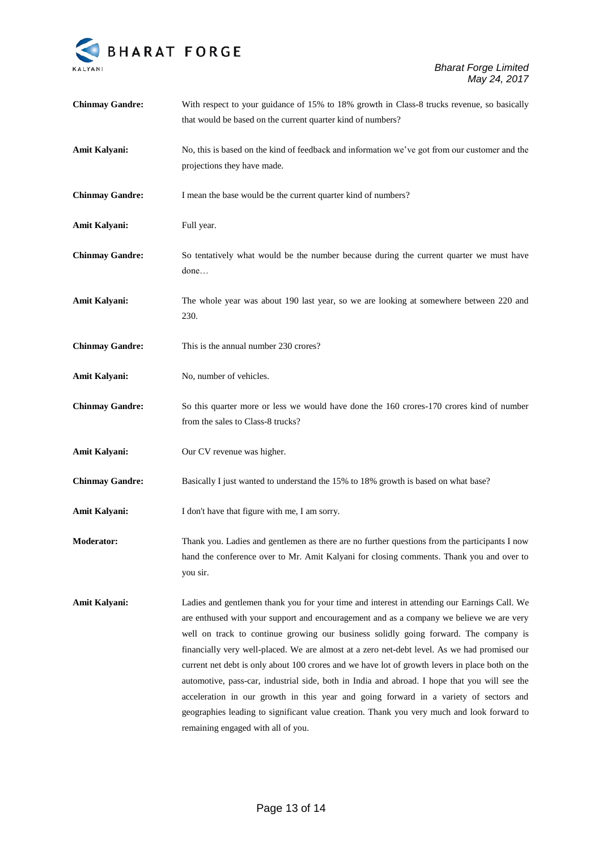

| <b>Chinmay Gandre:</b> | With respect to your guidance of 15% to 18% growth in Class-8 trucks revenue, so basically<br>that would be based on the current quarter kind of numbers?                                                                                                                                                                                                                                                                                                                                                                                                                                                                                                                                                                                                                                                         |
|------------------------|-------------------------------------------------------------------------------------------------------------------------------------------------------------------------------------------------------------------------------------------------------------------------------------------------------------------------------------------------------------------------------------------------------------------------------------------------------------------------------------------------------------------------------------------------------------------------------------------------------------------------------------------------------------------------------------------------------------------------------------------------------------------------------------------------------------------|
| Amit Kalyani:          | No, this is based on the kind of feedback and information we've got from our customer and the<br>projections they have made.                                                                                                                                                                                                                                                                                                                                                                                                                                                                                                                                                                                                                                                                                      |
| <b>Chinmay Gandre:</b> | I mean the base would be the current quarter kind of numbers?                                                                                                                                                                                                                                                                                                                                                                                                                                                                                                                                                                                                                                                                                                                                                     |
| <b>Amit Kalyani:</b>   | Full year.                                                                                                                                                                                                                                                                                                                                                                                                                                                                                                                                                                                                                                                                                                                                                                                                        |
| <b>Chinmay Gandre:</b> | So tentatively what would be the number because during the current quarter we must have<br>done                                                                                                                                                                                                                                                                                                                                                                                                                                                                                                                                                                                                                                                                                                                   |
| Amit Kalyani:          | The whole year was about 190 last year, so we are looking at somewhere between 220 and<br>230.                                                                                                                                                                                                                                                                                                                                                                                                                                                                                                                                                                                                                                                                                                                    |
| <b>Chinmay Gandre:</b> | This is the annual number 230 crores?                                                                                                                                                                                                                                                                                                                                                                                                                                                                                                                                                                                                                                                                                                                                                                             |
| <b>Amit Kalyani:</b>   | No, number of vehicles.                                                                                                                                                                                                                                                                                                                                                                                                                                                                                                                                                                                                                                                                                                                                                                                           |
| <b>Chinmay Gandre:</b> | So this quarter more or less we would have done the 160 crores-170 crores kind of number<br>from the sales to Class-8 trucks?                                                                                                                                                                                                                                                                                                                                                                                                                                                                                                                                                                                                                                                                                     |
| Amit Kalyani:          | Our CV revenue was higher.                                                                                                                                                                                                                                                                                                                                                                                                                                                                                                                                                                                                                                                                                                                                                                                        |
| <b>Chinmay Gandre:</b> | Basically I just wanted to understand the 15% to 18% growth is based on what base?                                                                                                                                                                                                                                                                                                                                                                                                                                                                                                                                                                                                                                                                                                                                |
| <b>Amit Kalyani:</b>   | I don't have that figure with me, I am sorry.                                                                                                                                                                                                                                                                                                                                                                                                                                                                                                                                                                                                                                                                                                                                                                     |
| <b>Moderator:</b>      | Thank you. Ladies and gentlemen as there are no further questions from the participants I now<br>hand the conference over to Mr. Amit Kalyani for closing comments. Thank you and over to<br>you sir.                                                                                                                                                                                                                                                                                                                                                                                                                                                                                                                                                                                                             |
| <b>Amit Kalyani:</b>   | Ladies and gentlemen thank you for your time and interest in attending our Earnings Call. We<br>are enthused with your support and encouragement and as a company we believe we are very<br>well on track to continue growing our business solidly going forward. The company is<br>financially very well-placed. We are almost at a zero net-debt level. As we had promised our<br>current net debt is only about 100 crores and we have lot of growth levers in place both on the<br>automotive, pass-car, industrial side, both in India and abroad. I hope that you will see the<br>acceleration in our growth in this year and going forward in a variety of sectors and<br>geographies leading to significant value creation. Thank you very much and look forward to<br>remaining engaged with all of you. |